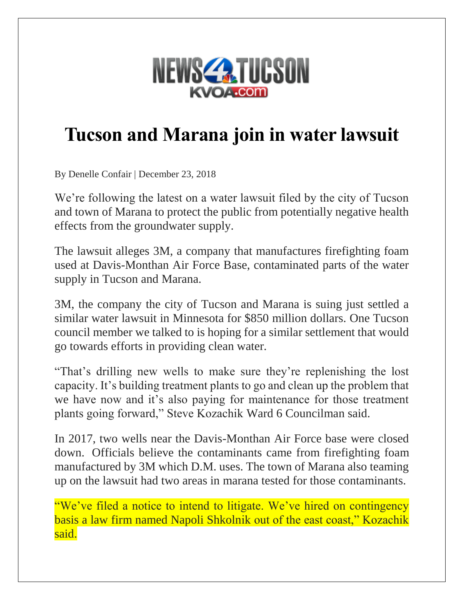

## **Tucson and Marana join in water lawsuit**

By Denelle Confair | December 23, 2018

We're following the latest on a water lawsuit filed by the city of Tucson and town of Marana to protect the public from potentially negative health effects from the groundwater supply.

The lawsuit alleges 3M, a company that manufactures firefighting foam used at Davis-Monthan Air Force Base, contaminated parts of the water supply in Tucson and Marana.

3M, the company the city of Tucson and Marana is suing just settled a similar water lawsuit in Minnesota for \$850 million dollars. One Tucson council member we talked to is hoping for a similar settlement that would go towards efforts in providing clean water.

"That's drilling new wells to make sure they're replenishing the lost capacity. It's building treatment plants to go and clean up the problem that we have now and it's also paying for maintenance for those treatment plants going forward," Steve Kozachik Ward 6 Councilman said.

In 2017, two wells near the Davis-Monthan Air Force base were closed down. Officials believe the contaminants came from firefighting foam manufactured by 3M which D.M. uses. The town of Marana also teaming up on the lawsuit had two areas in marana tested for those contaminants.

"We've filed a notice to intend to litigate. We've hired on contingency basis a law firm named Napoli Shkolnik out of the east coast," Kozachik said.